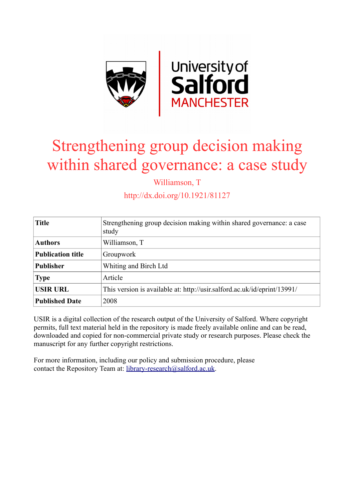

# Strengthening group decision making within shared governance: a case study

Williamson, T

http://dx.doi.org/10.1921/81127

| <b>Title</b>             | Strengthening group decision making within shared governance: a case<br>study |
|--------------------------|-------------------------------------------------------------------------------|
| <b>Authors</b>           | Williamson, T                                                                 |
| <b>Publication title</b> | Groupwork                                                                     |
| <b>Publisher</b>         | Whiting and Birch Ltd                                                         |
| <b>Type</b>              | Article                                                                       |
| <b>USIR URL</b>          | This version is available at: http://usir.salford.ac.uk/id/eprint/13991/      |
| <b>Published Date</b>    | 2008                                                                          |

USIR is a digital collection of the research output of the University of Salford. Where copyright permits, full text material held in the repository is made freely available online and can be read, downloaded and copied for non-commercial private study or research purposes. Please check the manuscript for any further copyright restrictions.

For more information, including our policy and submission procedure, please contact the Repository Team at: [library-research@salford.ac.uk.](mailto:library-research@salford.ac.uk)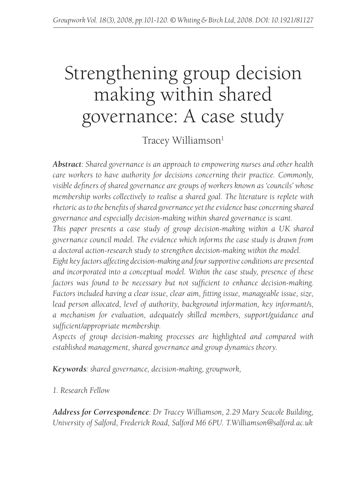## Strengthening group decision making within shared governance: A case study

Tracey Williamson<sup>1</sup>

*Abstract: Shared governance is an approach to empowering nurses and other health care workers to have authority for decisions concerning their practice. Commonly, visible definers of shared governance are groups of workers known as 'councils' whose membership works collectively to realise a shared goal. The literature is replete with rhetoric as to the benefits of shared governance yet the evidence base concerning shared governance and especially decision-making within shared governance is scant.*

*This paper presents a case study of group decision-making within a UK shared governance council model. The evidence which informs the case study is drawn from a doctoral action-research study to strengthen decision-making within the model.*

*Eight key factors affecting decision-making and four supportive conditions are presented and incorporated into a conceptual model. Within the case study, presence of these factors was found to be necessary but not sufficient to enhance decision-making. Factors included having a clear issue, clear aim, fitting issue, manageable issue, size, lead person allocated, level of authority, background information, key informant/s, a mechanism for evaluation, adequately skilled members, support/guidance and sufficient/appropriate membership.*

*Aspects of group decision-making processes are highlighted and compared with established management, shared governance and group dynamics theory.*

*Keywords: shared governance, decision-making, groupwork,*

*1. Research Fellow*

*Address for Correspondence: Dr Tracey Williamson, 2.29 Mary Seacole Building, University of Salford, Frederick Road, Salford M6 6PU. T.Williamson@salford.ac.uk*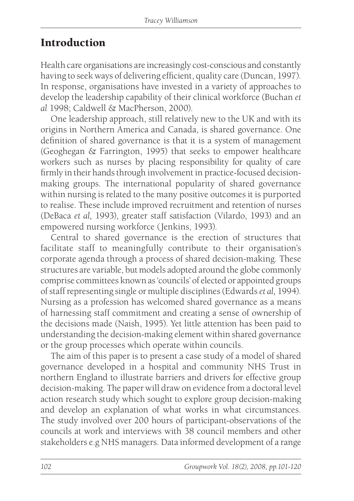## **Introduction**

Health care organisations are increasingly cost-conscious and constantly having to seek ways of delivering efficient, quality care (Duncan, 1997). In response, organisations have invested in a variety of approaches to develop the leadership capability of their clinical workforce (Buchan *et al* 1998; Caldwell & MacPherson, 2000).

One leadership approach, still relatively new to the UK and with its origins in Northern America and Canada, is shared governance. One definition of shared governance is that it is a system of management (Geoghegan & Farrington, 1995) that seeks to empower healthcare workers such as nurses by placing responsibility for quality of care firmly in their hands through involvement in practice-focused decisionmaking groups. The international popularity of shared governance within nursing is related to the many positive outcomes it is purported to realise. These include improved recruitment and retention of nurses (DeBaca *et al,* 1993), greater staff satisfaction (Vilardo, 1993) and an empowered nursing workforce (Jenkins, 1993).

Central to shared governance is the erection of structures that facilitate staff to meaningfully contribute to their organisation's corporate agenda through a process of shared decision-making. These structures are variable, but models adopted around the globe commonly comprise committees known as 'councils' of elected or appointed groups of staff representing single or multiple disciplines (Edwards *et al,* 1994). Nursing as a profession has welcomed shared governance as a means of harnessing staff commitment and creating a sense of ownership of the decisions made (Naish, 1995). Yet little attention has been paid to understanding the decision-making element within shared governance or the group processes which operate within councils.

The aim of this paper is to present a case study of a model of shared governance developed in a hospital and community NHS Trust in northern England to illustrate barriers and drivers for effective group decision-making. The paper will draw on evidence from a doctoral level action research study which sought to explore group decision-making and develop an explanation of what works in what circumstances. The study involved over 200 hours of participant-observations of the councils at work and interviews with 38 council members and other stakeholders e.g NHS managers. Data informed development of a range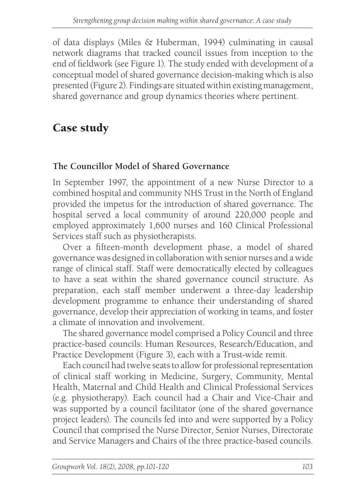of data displays (Miles & Huberman, 1994) culminating in causal network diagrams that tracked council issues from inception to the end of fieldwork (see Figure 1). The study ended with development of a conceptual model of shared governance decision-making which is also presented (Figure 2). Findings are situated within existing management, shared governance and group dynamics theories where pertinent.

## Case study

#### **The Councillor Model of Shared Governance**

In September 1997, the appointment of a new Nurse Director to a combined hospital and community NHS Trust in the North of England provided the impetus for the introduction of shared governance. The hospital served a local community of around 220,000 people and employed approximately 1,600 nurses and 160 Clinical Professional Services staff such as physiotherapists.

Over a fifteen-month development phase, a model of shared governance was designed in collaboration with senior nurses and a wide range of clinical staff. Staff were democratically elected by colleagues to have a seat within the shared governance council structure. As preparation, each staff member underwent a three-day leadership development programme to enhance their understanding of shared governance, develop their appreciation of working in teams, and foster a climate of innovation and involvement.

The shared governance model comprised a Policy Council and three practice-based councils: Human Resources, Research/Education, and Practice Development (Figure 3), each with a Trust-wide remit.

Each council had twelve seats to allow for professional representation of clinical staff working in Medicine, Surgery, Community, Mental Health, Maternal and Child Health and Clinical Professional Services (e.g. physiotherapy). Each council had a Chair and Vice-Chair and was supported by a council facilitator (one of the shared governance project leaders). The councils fed into and were supported by a Policy Council that comprised the Nurse Director, Senior Nurses, Directorate and Service Managers and Chairs of the three practice-based councils.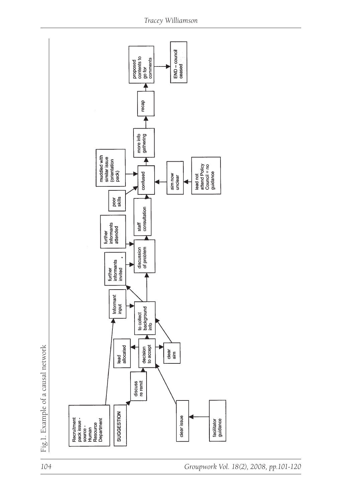

*<sup>104</sup> Groupwork Vol. 18(2), 2008, pp.101-120*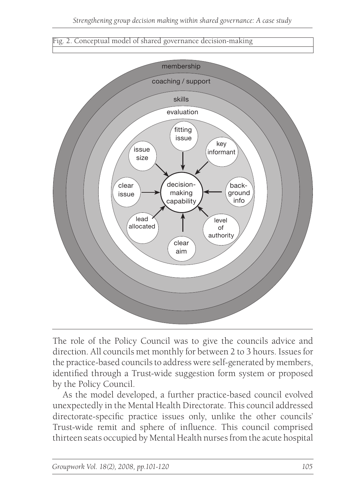#### Fig. 2. Conceptual model of shared governance decision-making



The role of the Policy Council was to give the councils advice and direction. All councils met monthly for between 2 to 3 hours. Issues for the practice-based councils to address were self-generated by members, identified through a Trust-wide suggestion form system or proposed by the Policy Council.

As the model developed, a further practice-based council evolved unexpectedly in the Mental Health Directorate. This council addressed directorate-specific practice issues only, unlike the other councils' Trust-wide remit and sphere of influence. This council comprised thirteen seats occupied by Mental Health nurses from the acute hospital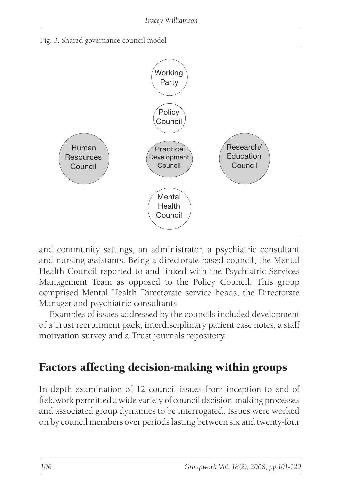



and community settings, an administrator, a psychiatric consultant and nursing assistants. Being a directorate-based council, the Mental Health Council reported to and linked with the Psychiatric Services Management Team as opposed to the Policy Council. This group comprised Mental Health Directorate service heads, the Directorate Manager and psychiatric consultants.

Examples of issues addressed by the councils included development of a Trust recruitment pack, interdisciplinary patient case notes, a staff motivation survey and a Trust journals repository.

## Factors affecting decision-making within groups

In-depth examination of 12 council issues from inception to end of fieldwork permitted a wide variety of council decision-making processes and associated group dynamics to be interrogated. Issues were worked on by council members over periods lasting between six and twenty-four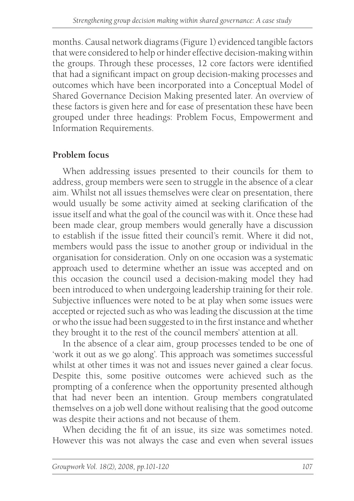months. Causal network diagrams (Figure 1) evidenced tangible factors that were considered to help or hinder effective decision-making within the groups. Through these processes, 12 core factors were identified that had a significant impact on group decision-making processes and outcomes which have been incorporated into a Conceptual Model of Shared Governance Decision Making presented later. An overview of these factors is given here and for ease of presentation these have been grouped under three headings: Problem Focus, Empowerment and Information Requirements.

#### **Problem focus**

When addressing issues presented to their councils for them to address, group members were seen to struggle in the absence of a clear aim. Whilst not all issues themselves were clear on presentation, there would usually be some activity aimed at seeking clarification of the issue itself and what the goal of the council was with it. Once these had been made clear, group members would generally have a discussion to establish if the issue fitted their council's remit. Where it did not, members would pass the issue to another group or individual in the organisation for consideration. Only on one occasion was a systematic approach used to determine whether an issue was accepted and on this occasion the council used a decision-making model they had been introduced to when undergoing leadership training for their role. Subjective influences were noted to be at play when some issues were accepted or rejected such as who was leading the discussion at the time or who the issue had been suggested to in the first instance and whether they brought it to the rest of the council members' attention at all.

In the absence of a clear aim, group processes tended to be one of 'work it out as we go along'. This approach was sometimes successful whilst at other times it was not and issues never gained a clear focus. Despite this, some positive outcomes were achieved such as the prompting of a conference when the opportunity presented although that had never been an intention. Group members congratulated themselves on a job well done without realising that the good outcome was despite their actions and not because of them.

When deciding the fit of an issue, its size was sometimes noted. However this was not always the case and even when several issues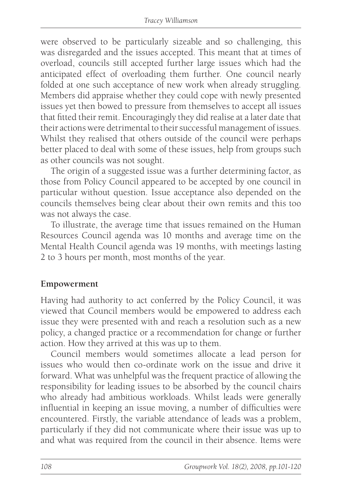were observed to be particularly sizeable and so challenging, this was disregarded and the issues accepted. This meant that at times of overload, councils still accepted further large issues which had the anticipated effect of overloading them further. One council nearly folded at one such acceptance of new work when already struggling. Members did appraise whether they could cope with newly presented issues yet then bowed to pressure from themselves to accept all issues that fitted their remit. Encouragingly they did realise at a later date that their actions were detrimental to their successful management of issues. Whilst they realised that others outside of the council were perhaps better placed to deal with some of these issues, help from groups such as other councils was not sought.

The origin of a suggested issue was a further determining factor, as those from Policy Council appeared to be accepted by one council in particular without question. Issue acceptance also depended on the councils themselves being clear about their own remits and this too was not always the case.

To illustrate, the average time that issues remained on the Human Resources Council agenda was 10 months and average time on the Mental Health Council agenda was 19 months, with meetings lasting 2 to 3 hours per month, most months of the year.

#### **Empowerment**

Having had authority to act conferred by the Policy Council, it was viewed that Council members would be empowered to address each issue they were presented with and reach a resolution such as a new policy, a changed practice or a recommendation for change or further action. How they arrived at this was up to them.

Council members would sometimes allocate a lead person for issues who would then co-ordinate work on the issue and drive it forward. What was unhelpful was the frequent practice of allowing the responsibility for leading issues to be absorbed by the council chairs who already had ambitious workloads. Whilst leads were generally influential in keeping an issue moving, a number of difficulties were encountered. Firstly, the variable attendance of leads was a problem, particularly if they did not communicate where their issue was up to and what was required from the council in their absence. Items were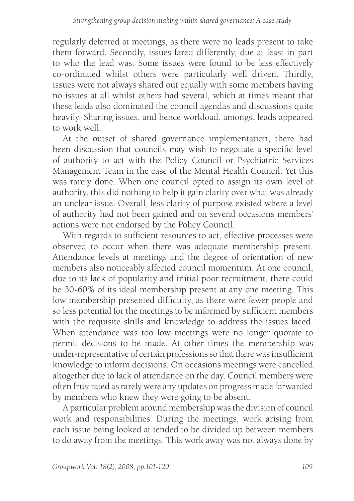regularly deferred at meetings, as there were no leads present to take them forward. Secondly, issues fared differently, due at least in part to who the lead was. Some issues were found to be less effectively co-ordinated whilst others were particularly well driven. Thirdly, issues were not always shared out equally with some members having no issues at all whilst others had several, which at times meant that these leads also dominated the council agendas and discussions quite heavily. Sharing issues, and hence workload, amongst leads appeared to work well.

At the outset of shared governance implementation, there had been discussion that councils may wish to negotiate a specific level of authority to act with the Policy Council or Psychiatric Services Management Team in the case of the Mental Health Council. Yet this was rarely done. When one council opted to assign its own level of authority, this did nothing to help it gain clarity over what was already an unclear issue. Overall, less clarity of purpose existed where a level of authority had not been gained and on several occasions members' actions were not endorsed by the Policy Council.

With regards to sufficient resources to act, effective processes were observed to occur when there was adequate membership present. Attendance levels at meetings and the degree of orientation of new members also noticeably affected council momentum. At one council, due to its lack of popularity and initial poor recruitment, there could be 30-60% of its ideal membership present at any one meeting. This low membership presented difficulty, as there were fewer people and so less potential for the meetings to be informed by sufficient members with the requisite skills and knowledge to address the issues faced. When attendance was too low meetings were no longer quorate to permit decisions to be made. At other times the membership was under-representative of certain professions so that there was insufficient knowledge to inform decisions. On occasions meetings were cancelled altogether due to lack of attendance on the day. Council members were often frustrated as rarely were any updates on progress made forwarded by members who knew they were going to be absent.

A particular problem around membership was the division of council work and responsibilities. During the meetings, work arising from each issue being looked at tended to be divided up between members to do away from the meetings. This work away was not always done by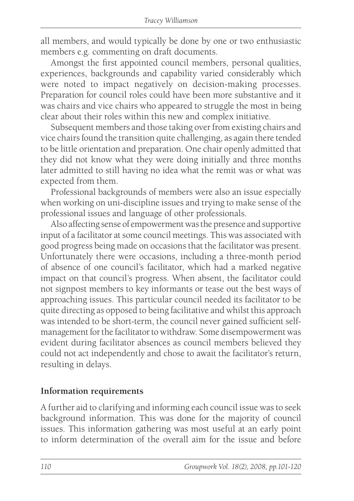all members, and would typically be done by one or two enthusiastic members e.g. commenting on draft documents.

Amongst the first appointed council members, personal qualities, experiences, backgrounds and capability varied considerably which were noted to impact negatively on decision-making processes. Preparation for council roles could have been more substantive and it was chairs and vice chairs who appeared to struggle the most in being clear about their roles within this new and complex initiative.

Subsequent members and those taking over from existing chairs and vice chairs found the transition quite challenging, as again there tended to be little orientation and preparation. One chair openly admitted that they did not know what they were doing initially and three months later admitted to still having no idea what the remit was or what was expected from them.

Professional backgrounds of members were also an issue especially when working on uni-discipline issues and trying to make sense of the professional issues and language of other professionals.

Also affecting sense of empowerment was the presence and supportive input of a facilitator at some council meetings. This was associated with good progress being made on occasions that the facilitator was present. Unfortunately there were occasions, including a three-month period of absence of one council's facilitator, which had a marked negative impact on that council's progress. When absent, the facilitator could not signpost members to key informants or tease out the best ways of approaching issues. This particular council needed its facilitator to be quite directing as opposed to being facilitative and whilst this approach was intended to be short-term, the council never gained sufficient selfmanagement for the facilitator to withdraw. Some disempowerment was evident during facilitator absences as council members believed they could not act independently and chose to await the facilitator's return, resulting in delays.

#### **Information requirements**

A further aid to clarifying and informing each council issue was to seek background information. This was done for the majority of council issues. This information gathering was most useful at an early point to inform determination of the overall aim for the issue and before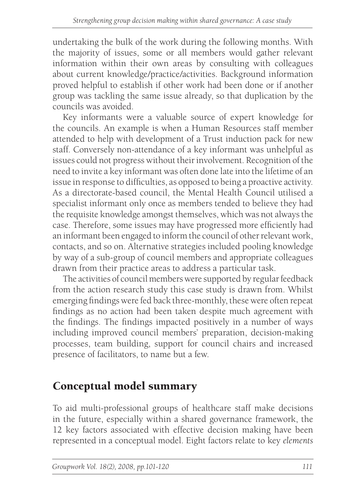undertaking the bulk of the work during the following months. With the majority of issues, some or all members would gather relevant information within their own areas by consulting with colleagues about current knowledge/practice/activities. Background information proved helpful to establish if other work had been done or if another group was tackling the same issue already, so that duplication by the councils was avoided.

Key informants were a valuable source of expert knowledge for the councils. An example is when a Human Resources staff member attended to help with development of a Trust induction pack for new staff. Conversely non-attendance of a key informant was unhelpful as issues could not progress without their involvement. Recognition of the need to invite a key informant was often done late into the lifetime of an issue in response to difficulties, as opposed to being a proactive activity. As a directorate-based council, the Mental Health Council utilised a specialist informant only once as members tended to believe they had the requisite knowledge amongst themselves, which was not always the case. Therefore, some issues may have progressed more efficiently had an informant been engaged to inform the council of other relevant work, contacts, and so on. Alternative strategies included pooling knowledge by way of a sub-group of council members and appropriate colleagues drawn from their practice areas to address a particular task.

The activities of council members were supported by regular feedback from the action research study this case study is drawn from. Whilst emerging findings were fed back three-monthly, these were often repeat findings as no action had been taken despite much agreement with the findings. The findings impacted positively in a number of ways including improved council members' preparation, decision-making processes, team building, support for council chairs and increased presence of facilitators, to name but a few.

## Conceptual model summary

To aid multi-professional groups of healthcare staff make decisions in the future, especially within a shared governance framework, the 12 key factors associated with effective decision making have been represented in a conceptual model. Eight factors relate to key *elements*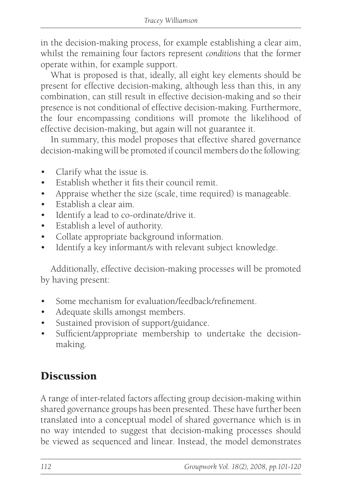in the decision-making process, for example establishing a clear aim, whilst the remaining four factors represent *conditions* that the former operate within, for example support.

What is proposed is that, ideally, all eight key elements should be present for effective decision-making, although less than this, in any combination, can still result in effective decision-making and so their presence is not conditional of effective decision-making. Furthermore, the four encompassing conditions will promote the likelihood of effective decision-making, but again will not guarantee it.

In summary, this model proposes that effective shared governance decision-making will be promoted if council members do the following:

- Clarify what the issue is.
- • Establish whether it fits their council remit.
- Appraise whether the size (scale, time required) is manageable.
- Establish a clear aim.
- • Identify a lead to co-ordinate/drive it.
- • Establish a level of authority.
- • Collate appropriate background information.
- Identify a key informant/s with relevant subject knowledge.

Additionally, effective decision-making processes will be promoted by having present:

- Some mechanism for evaluation/feedback/refinement.
- Adequate skills amongst members.
- Sustained provision of support/guidance.
- Sufficient/appropriate membership to undertake the decisionmaking.

## **Discussion**

A range of inter-related factors affecting group decision-making within shared governance groups has been presented. These have further been translated into a conceptual model of shared governance which is in no way intended to suggest that decision-making processes should be viewed as sequenced and linear. Instead, the model demonstrates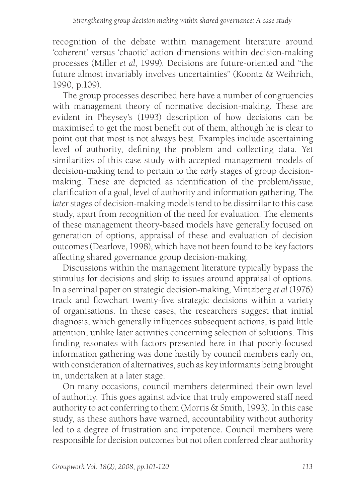recognition of the debate within management literature around 'coherent' versus 'chaotic' action dimensions within decision-making processes (Miller *et al,* 1999). Decisions are future-oriented and "the future almost invariably involves uncertainties" (Koontz & Weihrich, 1990, p.109).

The group processes described here have a number of congruencies with management theory of normative decision-making. These are evident in Pheysey's (1993) description of how decisions can be maximised to get the most benefit out of them, although he is clear to point out that most is not always best. Examples include ascertaining level of authority, defining the problem and collecting data. Yet similarities of this case study with accepted management models of decision-making tend to pertain to the *early* stages of group decisionmaking. These are depicted as identification of the problem/issue, clarification of a goal, level of authority and information gathering. The *later* stages of decision-making models tend to be dissimilar to this case study, apart from recognition of the need for evaluation. The elements of these management theory-based models have generally focused on generation of options, appraisal of these and evaluation of decision outcomes (Dearlove, 1998), which have not been found to be key factors affecting shared governance group decision-making.

Discussions within the management literature typically bypass the stimulus for decisions and skip to issues around appraisal of options. In a seminal paper on strategic decision-making, Mintzberg *et al* (1976) track and flowchart twenty-five strategic decisions within a variety of organisations. In these cases, the researchers suggest that initial diagnosis, which generally influences subsequent actions, is paid little attention, unlike later activities concerning selection of solutions. This finding resonates with factors presented here in that poorly-focused information gathering was done hastily by council members early on, with consideration of alternatives, such as key informants being brought in, undertaken at a later stage.

On many occasions, council members determined their own level of authority. This goes against advice that truly empowered staff need authority to act conferring to them (Morris & Smith, 1993). In this case study, as these authors have warned, accountability without authority led to a degree of frustration and impotence. Council members were responsible for decision outcomes but not often conferred clear authority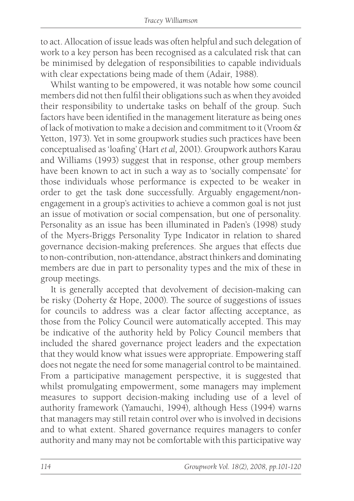to act. Allocation of issue leads was often helpful and such delegation of work to a key person has been recognised as a calculated risk that can be minimised by delegation of responsibilities to capable individuals with clear expectations being made of them (Adair, 1988).

Whilst wanting to be empowered, it was notable how some council members did not then fulfil their obligations such as when they avoided their responsibility to undertake tasks on behalf of the group. Such factors have been identified in the management literature as being ones of lack of motivation to make a decision and commitment to it (Vroom & Yetton, 1973). Yet in some groupwork studies such practices have been conceptualised as 'loafing' (Hart *et al,* 2001). Groupwork authors Karau and Williams (1993) suggest that in response, other group members have been known to act in such a way as to 'socially compensate' for those individuals whose performance is expected to be weaker in order to get the task done successfully. Arguably engagement/nonengagement in a group's activities to achieve a common goal is not just an issue of motivation or social compensation, but one of personality. Personality as an issue has been illuminated in Paden's (1998) study of the Myers-Briggs Personality Type Indicator in relation to shared governance decision-making preferences. She argues that effects due to non-contribution, non-attendance, abstract thinkers and dominating members are due in part to personality types and the mix of these in group meetings.

It is generally accepted that devolvement of decision-making can be risky (Doherty & Hope, 2000). The source of suggestions of issues for councils to address was a clear factor affecting acceptance, as those from the Policy Council were automatically accepted. This may be indicative of the authority held by Policy Council members that included the shared governance project leaders and the expectation that they would know what issues were appropriate. Empowering staff does not negate the need for some managerial control to be maintained. From a participative management perspective, it is suggested that whilst promulgating empowerment, some managers may implement measures to support decision-making including use of a level of authority framework (Yamauchi, 1994), although Hess (1994) warns that managers may still retain control over who is involved in decisions and to what extent. Shared governance requires managers to confer authority and many may not be comfortable with this participative way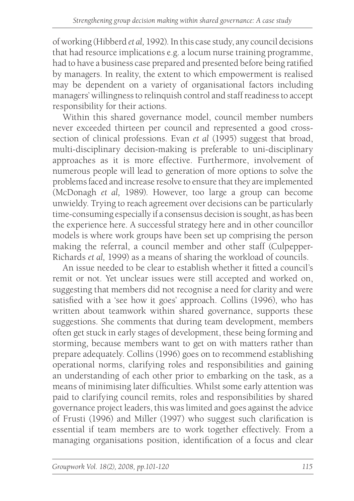of working (Hibberd *et al,* 1992). In this case study, any council decisions that had resource implications e.g. a locum nurse training programme, had to have a business case prepared and presented before being ratified by managers. In reality, the extent to which empowerment is realised may be dependent on a variety of organisational factors including managers' willingness to relinquish control and staff readiness to accept responsibility for their actions.

Within this shared governance model, council member numbers never exceeded thirteen per council and represented a good crosssection of clinical professions. Evan *et al* (1995) suggest that broad, multi-disciplinary decision-making is preferable to uni-disciplinary approaches as it is more effective. Furthermore, involvement of numerous people will lead to generation of more options to solve the problems faced and increase resolve to ensure that they are implemented (McDonagh *et al,* 1989). However, too large a group can become unwieldy. Trying to reach agreement over decisions can be particularly time-consuming especially if a consensus decision is sought, as has been the experience here. A successful strategy here and in other councillor models is where work groups have been set up comprising the person making the referral, a council member and other staff (Culpepper-Richards *et al,* 1999) as a means of sharing the workload of councils.

An issue needed to be clear to establish whether it fitted a council's remit or not. Yet unclear issues were still accepted and worked on, suggesting that members did not recognise a need for clarity and were satisfied with a 'see how it goes' approach. Collins (1996), who has written about teamwork within shared governance, supports these suggestions. She comments that during team development, members often get stuck in early stages of development, these being forming and storming, because members want to get on with matters rather than prepare adequately. Collins (1996) goes on to recommend establishing operational norms, clarifying roles and responsibilities and gaining an understanding of each other prior to embarking on the task, as a means of minimising later difficulties. Whilst some early attention was paid to clarifying council remits, roles and responsibilities by shared governance project leaders, this was limited and goes against the advice of Frusti (1996) and Miller (1997) who suggest such clarification is essential if team members are to work together effectively. From a managing organisations position, identification of a focus and clear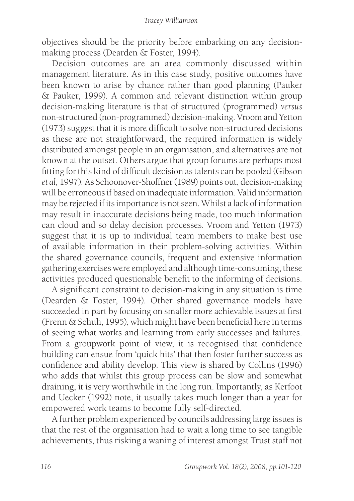objectives should be the priority before embarking on any decisionmaking process (Dearden & Foster, 1994).

Decision outcomes are an area commonly discussed within management literature. As in this case study, positive outcomes have been known to arise by chance rather than good planning (Pauker & Pauker, 1999). A common and relevant distinction within group decision-making literature is that of structured (programmed) *versus* non-structured (non-programmed) decision-making. Vroom and Yetton (1973) suggest that it is more difficult to solve non-structured decisions as these are not straightforward, the required information is widely distributed amongst people in an organisation, and alternatives are not known at the outset. Others argue that group forums are perhaps most fitting for this kind of difficult decision as talents can be pooled (Gibson *et al,* 1997). As Schoonover-Shoffner (1989) points out, decision-making will be erroneous if based on inadequate information. Valid information may be rejected if its importance is not seen. Whilst a lack of information may result in inaccurate decisions being made, too much information can cloud and so delay decision processes. Vroom and Yetton (1973) suggest that it is up to individual team members to make best use of available information in their problem-solving activities. Within the shared governance councils, frequent and extensive information gathering exercises were employed and although time-consuming, these activities produced questionable benefit to the informing of decisions.

A significant constraint to decision-making in any situation is time (Dearden & Foster, 1994). Other shared governance models have succeeded in part by focusing on smaller more achievable issues at first (Frenn & Schuh, 1995), which might have been beneficial here in terms of seeing what works and learning from early successes and failures. From a groupwork point of view, it is recognised that confidence building can ensue from 'quick hits' that then foster further success as confidence and ability develop. This view is shared by Collins (1996) who adds that whilst this group process can be slow and somewhat draining, it is very worthwhile in the long run. Importantly, as Kerfoot and Uecker (1992) note, it usually takes much longer than a year for empowered work teams to become fully self-directed.

A further problem experienced by councils addressing large issues is that the rest of the organisation had to wait a long time to see tangible achievements, thus risking a waning of interest amongst Trust staff not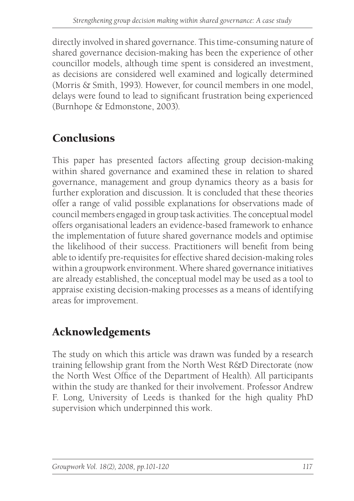directly involved in shared governance. This time-consuming nature of shared governance decision-making has been the experience of other councillor models, although time spent is considered an investment, as decisions are considered well examined and logically determined (Morris & Smith, 1993). However, for council members in one model, delays were found to lead to significant frustration being experienced (Burnhope & Edmonstone, 2003).

## Conclusions

This paper has presented factors affecting group decision-making within shared governance and examined these in relation to shared governance, management and group dynamics theory as a basis for further exploration and discussion. It is concluded that these theories offer a range of valid possible explanations for observations made of council members engaged in group task activities. The conceptual model offers organisational leaders an evidence-based framework to enhance the implementation of future shared governance models and optimise the likelihood of their success. Practitioners will benefit from being able to identify pre-requisites for effective shared decision-making roles within a groupwork environment. Where shared governance initiatives are already established, the conceptual model may be used as a tool to appraise existing decision-making processes as a means of identifying areas for improvement.

## Acknowledgements

The study on which this article was drawn was funded by a research training fellowship grant from the North West R&D Directorate (now the North West Office of the Department of Health). All participants within the study are thanked for their involvement. Professor Andrew F. Long, University of Leeds is thanked for the high quality PhD supervision which underpinned this work.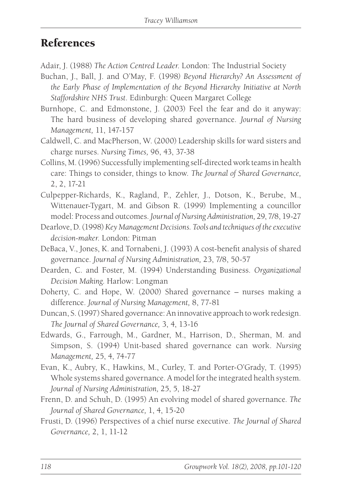#### References

Adair, J. (1988) *The Action Centred Leader*. London: The Industrial Society

- Buchan, J., Ball, J. and O'May, F. (1998*) Beyond Hierarchy? An Assessment of the Early Phase of Implementation of the Beyond Hierarchy Initiative at North Staffordshire NHS Trust*. Edinburgh: Queen Margaret College
- Burnhope, C. and Edmonstone, J. (2003) Feel the fear and do it anyway: The hard business of developing shared governance. *Journal of Nursing Management,* 11, 147-157
- Caldwell, C. and MacPherson, W. (2000) Leadership skills for ward sisters and charge nurses. *Nursing Times,* 96, 43, 37-38
- Collins, M. (1996) Successfully implementing self-directed work teams in health care: Things to consider, things to know. *The Journal of Shared Governance,* 2, 2, 17-21
- Culpepper-Richards, K., Ragland, P., Zehler, J., Dotson, K., Berube, M., Wittenauer-Tygart, M. and Gibson R. (1999) Implementing a councillor model: Process and outcomes. *Journal of Nursing Administration,* 29, 7/8, 19-27
- Dearlove, D. (1998) *Key Management Decisions. Tools and techniques of the executive decision-maker*. London: Pitman
- DeBaca, V., Jones, K. and Tornabeni, J. (1993) A cost-benefit analysis of shared governance. *Journal of Nursing Administration,* 23, 7/8, 50-57
- Dearden, C. and Foster, M. (1994) Understanding Business. *Organizational Decision Making*. Harlow: Longman
- Doherty, C. and Hope, W. (2000) Shared governance nurses making a difference. *Journal of Nursing Management,* 8, 77-81
- Duncan, S. (1997) Shared governance: An innovative approach to work redesign. *The Journal of Shared Governance,* 3, 4, 13-16
- Edwards, G., Farrough, M., Gardner, M., Harrison, D., Sherman, M. and Simpson, S. (1994) Unit-based shared governance can work. *Nursing Management,* 25, 4, 74-77
- Evan, K., Aubry, K., Hawkins, M., Curley, T. and Porter-O'Grady, T. (1995) Whole systems shared governance. A model for the integrated health system*. Journal of Nursing Administration,* 25, 5, 18-27
- Frenn, D. and Schuh, D. (1995) An evolving model of shared governance*. The Journal of Shared Governance,* 1, 4, 15-20
- Frusti, D. (1996) Perspectives of a chief nurse executive. *The Journal of Shared Governance,* 2, 1, 11-12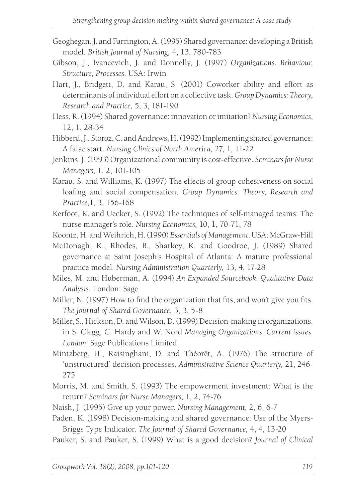- Geoghegan, J. and Farrington, A. (1995) Shared governance: developing a British model. *British Journal of Nursing,* 4, 13, 780-783
- Gibson, J., Ivancevich, J. and Donnelly, J. (1997) *Organizations. Behaviour, Structure, Processes*. USA: Irwin
- Hart, J., Bridgett, D. and Karau, S. (2001) Coworker ability and effort as determinants of individual effort on a collective task. *Group Dynamics: Theory, Research and Practice,* 5, 3, 181-190
- Hess, R. (1994) Shared governance: innovation or imitation? *Nursing Economics,* 12, 1, 28-34
- Hibberd, J., Storoz, C. and Andrews, H. (1992) Implementing shared governance: A false start. *Nursing Clinics of North America,* 27, 1, 11-22
- Jenkins, J. (1993) Organizational community is cost-effective. *Seminars for Nurse Managers,* 1, 2, 101-105
- Karau, S. and Williams, K. (1997) The effects of group cohesiveness on social loafing and social compensation. *Group Dynamics: Theory, Research and Practice,*1, 3, 156-168
- Kerfoot, K. and Uecker, S. (1992) The techniques of self-managed teams: The nurse manager's role. *Nursing Economics,* 10, 1, 70-71, 78
- Koontz, H. and Weihrich, H. (1990) *Essentials of Management*. USA: McGraw-Hill
- McDonagh, K., Rhodes, B., Sharkey, K. and Goodroe, J. (1989) Shared governance at Saint Joseph's Hospital of Atlanta: A mature professional practice model*. Nursing Administration Quarterly,* 13, 4, 17-28
- Miles, M. and Huberman, A. (1994) *An Expanded Sourcebook. Qualitative Data Analysis*. London: Sage
- Miller, N. (1997) How to find the organization that fits, and won't give you fits. *The Journal of Shared Governance,* 3, 3, 5-8
- Miller, S., Hickson, D. and Wilson, D. (1999) Decision-making in organizations. in S. Clegg, C. Hardy and W. Nord *Managing Organizations. Current issues. London:* Sage Publications Limited
- Mintzberg, H., Raisinghani, D. and Théorêt, A. (1976) The structure of 'unstructured' decision processes. *Administrative Science Quarterly,* 21, 246- 275
- Morris, M. and Smith, S. (1993) The empowerment investment: What is the return? *Seminars for Nurse Managers,* 1, 2, 74-76
- Naish, J. (1995) Give up your power. *Nursing Management,* 2, 6, 6-7
- Paden, K. (1998) Decision-making and shared governance: Use of the Myers-Briggs Type Indicator. *The Journal of Shared Governance,* 4, 4, 13-20
- Pauker, S. and Pauker, S. (1999) What is a good decision? *Journal of Clinical*